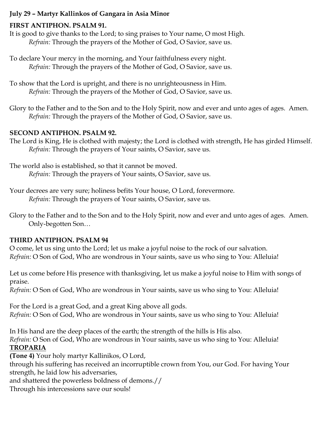### **July 29 – Martyr Kallinkos of Gangara in Asia Minor**

### **FIRST ANTIPHON. PSALM 91.**

It is good to give thanks to the Lord; to sing praises to Your name, O most High. *Refrain:* Through the prayers of the Mother of God, O Savior, save us.

To declare Your mercy in the morning, and Your faithfulness every night. *Refrain:* Through the prayers of the Mother of God, O Savior, save us.

To show that the Lord is upright, and there is no unrighteousness in Him. *Refrain:* Through the prayers of the Mother of God, O Savior, save us.

Glory to the Father and to the Son and to the Holy Spirit, now and ever and unto ages of ages. Amen. *Refrain:* Through the prayers of the Mother of God, O Savior, save us.

### **SECOND ANTIPHON. PSALM 92.**

The Lord is King, He is clothed with majesty; the Lord is clothed with strength, He has girded Himself. *Refrain:* Through the prayers of Your saints, O Savior, save us.

The world also is established, so that it cannot be moved. *Refrain:* Through the prayers of Your saints, O Savior, save us.

Your decrees are very sure; holiness befits Your house, O Lord, forevermore. *Refrain:* Through the prayers of Your saints, O Savior, save us.

Glory to the Father and to the Son and to the Holy Spirit, now and ever and unto ages of ages. Amen. Only-begotten Son…

### **THIRD ANTIPHON. PSALM 94**

O come, let us sing unto the Lord; let us make a joyful noise to the rock of our salvation. *Refrain:* O Son of God, Who are wondrous in Your saints, save us who sing to You: Alleluia!

Let us come before His presence with thanksgiving, let us make a joyful noise to Him with songs of praise.

*Refrain:* O Son of God, Who are wondrous in Your saints, save us who sing to You: Alleluia!

For the Lord is a great God, and a great King above all gods. *Refrain:* O Son of God, Who are wondrous in Your saints, save us who sing to You: Alleluia!

In His hand are the deep places of the earth; the strength of the hills is His also. *Refrain:* O Son of God, Who are wondrous in Your saints, save us who sing to You: Alleluia! **TROPARIA**

**(Tone 4)** Your holy martyr Kallinikos, O Lord,

through his suffering has received an incorruptible crown from You, our God. For having Your strength, he laid low his adversaries,

and shattered the powerless boldness of demons.//

Through his intercessions save our souls!